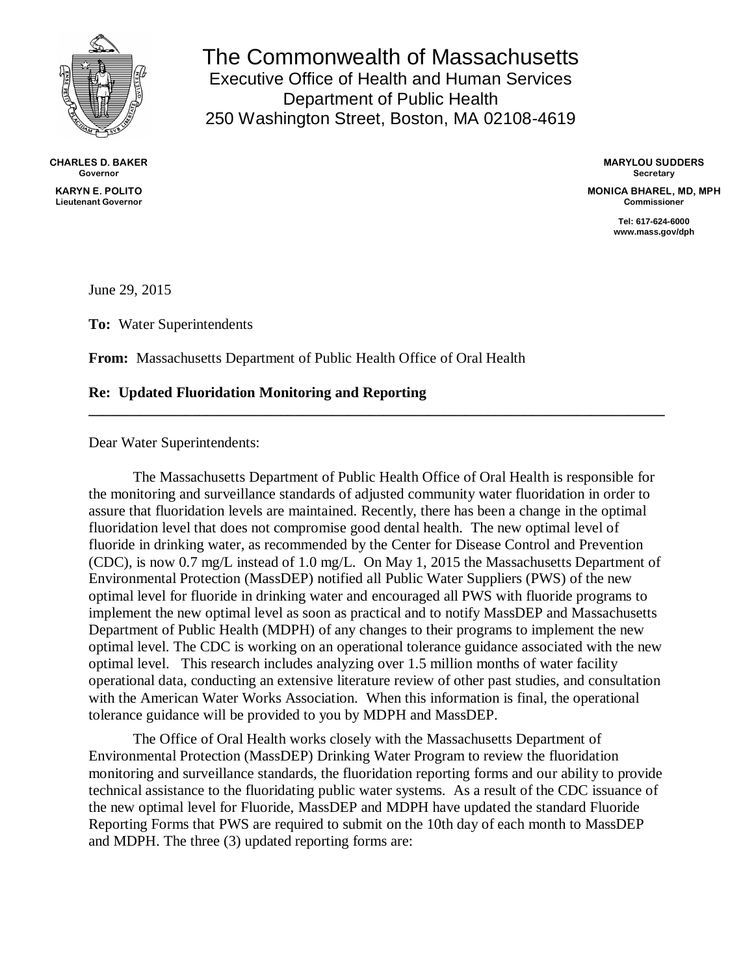

**CHARLES D. BAKER Governor KARYN E. POLITO Lieutenant Governor**

The Commonwealth of Massachusetts Executive Office of Health and Human Services Department of Public Health 250 Washington Street, Boston, MA 02108-4619

> **MARYLOU SUDDERS Secretary**

**MONICA BHAREL, MD, MPH Commissioner**

> **Tel: 617-624-6000 www.mass.gov/dph**

June 29, 2015

**To:** Water Superintendents

**From:** Massachusetts Department of Public Health Office of Oral Health

#### **Re: Updated Fluoridation Monitoring and Reporting**

Dear Water Superintendents:

The Massachusetts Department of Public Health Office of Oral Health is responsible for the monitoring and surveillance standards of adjusted community water fluoridation in order to assure that fluoridation levels are maintained. Recently, there has been a change in the optimal fluoridation level that does not compromise good dental health. The new optimal level of fluoride in drinking water, as recommended by the Center for Disease Control and Prevention (CDC), is now 0.7 mg/L instead of 1.0 mg/L. On May 1, 2015 the Massachusetts Department of Environmental Protection (MassDEP) notified all Public Water Suppliers (PWS) of the new optimal level for fluoride in drinking water and encouraged all PWS with fluoride programs to implement the new optimal level as soon as practical and to notify MassDEP and Massachusetts Department of Public Health (MDPH) of any changes to their programs to implement the new optimal level. The CDC is working on an operational tolerance guidance associated with the new optimal level. This research includes analyzing over 1.5 million months of water facility operational data, conducting an extensive literature review of other past studies, and consultation with the American Water Works Association. When this information is final, the operational tolerance guidance will be provided to you by MDPH and MassDEP.

**\_\_\_\_\_\_\_\_\_\_\_\_\_\_\_\_\_\_\_\_\_\_\_\_\_\_\_\_\_\_\_\_\_\_\_\_\_\_\_\_\_\_\_\_\_\_\_\_\_\_\_\_\_\_\_\_\_\_\_\_\_\_\_\_\_\_\_\_\_\_\_\_\_\_\_\_\_\_**

The Office of Oral Health works closely with the Massachusetts Department of Environmental Protection (MassDEP) Drinking Water Program to review the fluoridation monitoring and surveillance standards, the fluoridation reporting forms and our ability to provide technical assistance to the fluoridating public water systems. As a result of the CDC issuance of the new optimal level for Fluoride, MassDEP and MDPH have updated the standard Fluoride Reporting Forms that PWS are required to submit on the 10th day of each month to MassDEP and MDPH. The three (3) updated reporting forms are: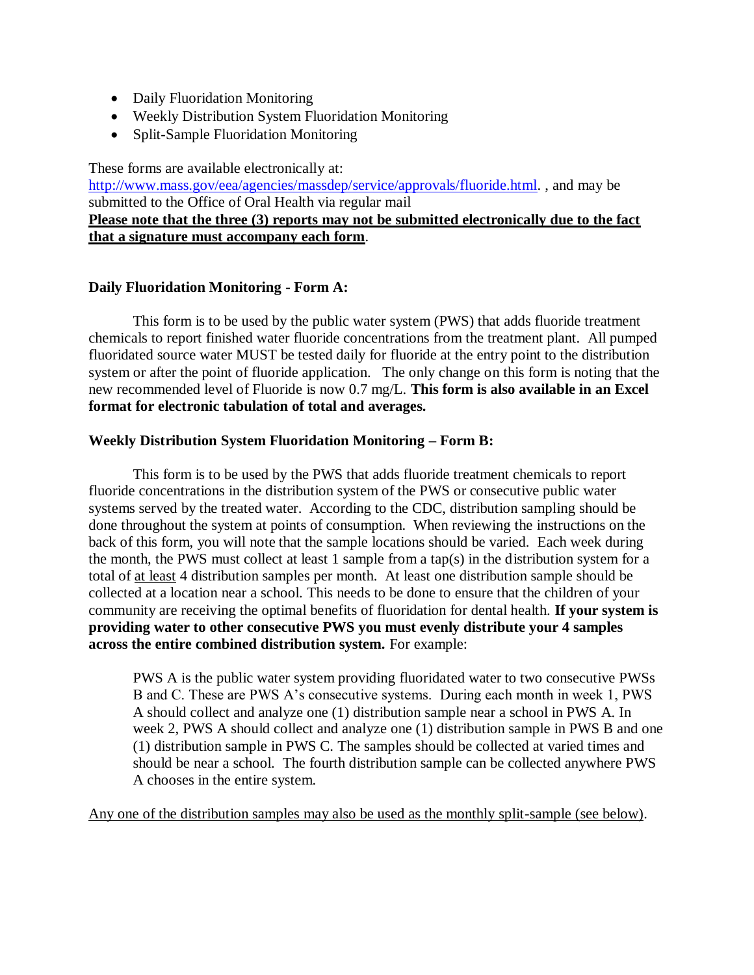- Daily Fluoridation Monitoring
- Weekly Distribution System Fluoridation Monitoring
- Split-Sample Fluoridation Monitoring

These forms are available electronically at:

[http://www.mass.gov/eea/agencies/massdep/service/approvals/fluoride.html.](http://www.mass.gov/eea/agencies/massdep/service/approvals/fluoride.html) , and may be submitted to the Office of Oral Health via regular mail

# **Please note that the three (3) reports may not be submitted electronically due to the fact that a signature must accompany each form**.

## **Daily Fluoridation Monitoring - Form A:**

This form is to be used by the public water system (PWS) that adds fluoride treatment chemicals to report finished water fluoride concentrations from the treatment plant. All pumped fluoridated source water MUST be tested daily for fluoride at the entry point to the distribution system or after the point of fluoride application. The only change on this form is noting that the new recommended level of Fluoride is now 0.7 mg/L. **This form is also available in an Excel format for electronic tabulation of total and averages.**

## **Weekly Distribution System Fluoridation Monitoring – Form B:**

This form is to be used by the PWS that adds fluoride treatment chemicals to report fluoride concentrations in the distribution system of the PWS or consecutive public water systems served by the treated water. According to the CDC, distribution sampling should be done throughout the system at points of consumption. When reviewing the instructions on the back of this form, you will note that the sample locations should be varied. Each week during the month, the PWS must collect at least 1 sample from a tap(s) in the distribution system for a total of at least 4 distribution samples per month. At least one distribution sample should be collected at a location near a school. This needs to be done to ensure that the children of your community are receiving the optimal benefits of fluoridation for dental health. **If your system is providing water to other consecutive PWS you must evenly distribute your 4 samples across the entire combined distribution system.** For example:

PWS A is the public water system providing fluoridated water to two consecutive PWSs B and C. These are PWS A's consecutive systems. During each month in week 1, PWS A should collect and analyze one (1) distribution sample near a school in PWS A. In week 2, PWS A should collect and analyze one (1) distribution sample in PWS B and one (1) distribution sample in PWS C. The samples should be collected at varied times and should be near a school. The fourth distribution sample can be collected anywhere PWS A chooses in the entire system.

Any one of the distribution samples may also be used as the monthly split-sample (see below).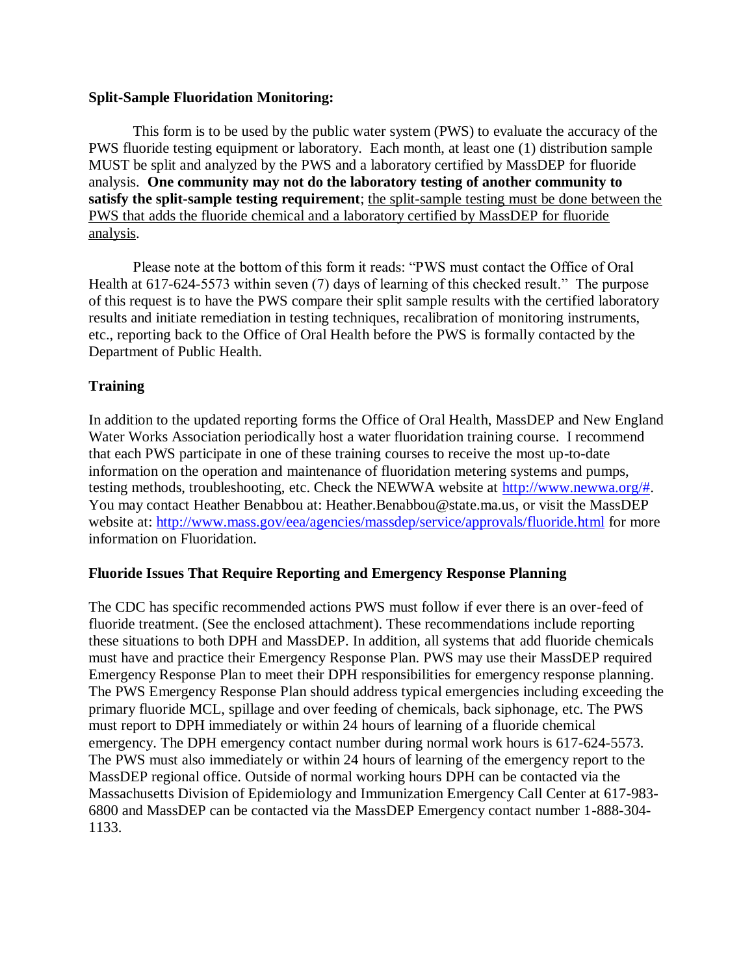### **Split-Sample Fluoridation Monitoring:**

This form is to be used by the public water system (PWS) to evaluate the accuracy of the PWS fluoride testing equipment or laboratory. Each month, at least one (1) distribution sample MUST be split and analyzed by the PWS and a laboratory certified by MassDEP for fluoride analysis. **One community may not do the laboratory testing of another community to satisfy the split-sample testing requirement**; the split-sample testing must be done between the PWS that adds the fluoride chemical and a laboratory certified by MassDEP for fluoride analysis.

Please note at the bottom of this form it reads: "PWS must contact the Office of Oral Health at 617-624-5573 within seven (7) days of learning of this checked result." The purpose of this request is to have the PWS compare their split sample results with the certified laboratory results and initiate remediation in testing techniques, recalibration of monitoring instruments, etc., reporting back to the Office of Oral Health before the PWS is formally contacted by the Department of Public Health.

# **Training**

In addition to the updated reporting forms the Office of Oral Health, MassDEP and New England Water Works Association periodically host a water fluoridation training course. I recommend that each PWS participate in one of these training courses to receive the most up-to-date information on the operation and maintenance of fluoridation metering systems and pumps, testing methods, troubleshooting, etc. Check the NEWWA website at [http://www.newwa.org/#.](http://www.newwa.org/) You may contact Heather Benabbou at: Heather.Benabbou@state.ma.us, or visit the MassDEP website at: <http://www.mass.gov/eea/agencies/massdep/service/approvals/fluoride.html> for more information on Fluoridation.

### **Fluoride Issues That Require Reporting and Emergency Response Planning**

The CDC has specific recommended actions PWS must follow if ever there is an over-feed of fluoride treatment. (See the enclosed attachment). These recommendations include reporting these situations to both DPH and MassDEP. In addition, all systems that add fluoride chemicals must have and practice their Emergency Response Plan. PWS may use their MassDEP required Emergency Response Plan to meet their DPH responsibilities for emergency response planning. The PWS Emergency Response Plan should address typical emergencies including exceeding the primary fluoride MCL, spillage and over feeding of chemicals, back siphonage, etc. The PWS must report to DPH immediately or within 24 hours of learning of a fluoride chemical emergency. The DPH emergency contact number during normal work hours is 617-624-5573. The PWS must also immediately or within 24 hours of learning of the emergency report to the MassDEP regional office. Outside of normal working hours DPH can be contacted via the Massachusetts Division of Epidemiology and Immunization Emergency Call Center at 617-983- 6800 and MassDEP can be contacted via the MassDEP Emergency contact number 1-888-304- 1133.